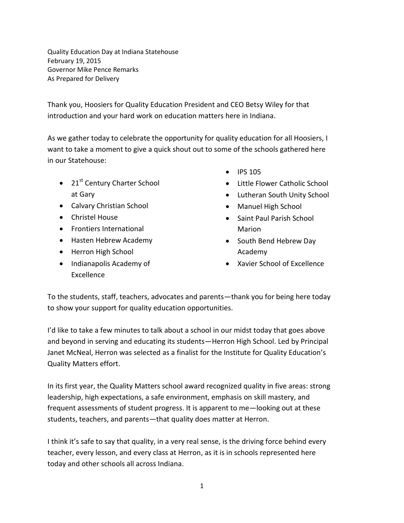Quality Education Day at Indiana Statehouse February 19, 2015 Governor Mike Pence Remarks As Prepared for Delivery

Thank you, Hoosiers for Quality Education President and CEO Betsy Wiley for that introduction and your hard work on education matters here in Indiana.

As we gather today to celebrate the opportunity for quality education for all Hoosiers, I want to take a moment to give a quick shout out to some of the schools gathered here in our Statehouse:

- $\bullet$  21st Century Charter School at Gary
- Calvary Christian School
- Christel House
- **•** Frontiers International
- Hasten Hebrew Academy
- Herron High School
- Indianapolis Academy of Excellence
- $\bullet$  IPS 105
- Little Flower Catholic School
- Lutheran South Unity School
- Manuel High School
- Saint Paul Parish School Marion
- South Bend Hebrew Day Academy
- Xavier School of Excellence

To the students, staff, teachers, advocates and parents—thank you for being here today to show your support for quality education opportunities.

I'd like to take a few minutes to talk about a school in our midst today that goes above and beyond in serving and educating its students—Herron High School. Led by Principal Janet McNeal, Herron was selected as a finalist for the Institute for Quality Education's Quality Matters effort.

In its first year, the Quality Matters school award recognized quality in five areas: strong leadership, high expectations, a safe environment, emphasis on skill mastery, and frequent assessments of student progress. It is apparent to me—looking out at these students, teachers, and parents—that quality does matter at Herron.

I think it's safe to say that quality, in a very real sense, is the driving force behind every teacher, every lesson, and every class at Herron, as it is in schools represented here today and other schools all across Indiana.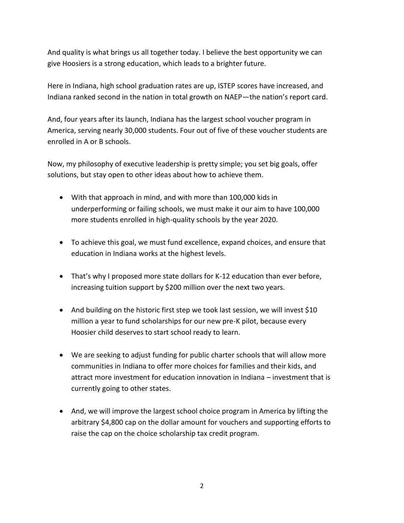And quality is what brings us all together today. I believe the best opportunity we can give Hoosiers is a strong education, which leads to a brighter future.

Here in Indiana, high school graduation rates are up, ISTEP scores have increased, and Indiana ranked second in the nation in total growth on NAEP—the nation's report card.

And, four years after its launch, Indiana has the largest school voucher program in America, serving nearly 30,000 students. Four out of five of these voucher students are enrolled in A or B schools.

Now, my philosophy of executive leadership is pretty simple; you set big goals, offer solutions, but stay open to other ideas about how to achieve them.

- With that approach in mind, and with more than 100,000 kids in underperforming or failing schools, we must make it our aim to have 100,000 more students enrolled in high-quality schools by the year 2020.
- To achieve this goal, we must fund excellence, expand choices, and ensure that education in Indiana works at the highest levels.
- That's why I proposed more state dollars for K-12 education than ever before, increasing tuition support by \$200 million over the next two years.
- And building on the historic first step we took last session, we will invest \$10 million a year to fund scholarships for our new pre-K pilot, because every Hoosier child deserves to start school ready to learn.
- We are seeking to adjust funding for public charter schools that will allow more communities in Indiana to offer more choices for families and their kids, and attract more investment for education innovation in Indiana – investment that is currently going to other states.
- And, we will improve the largest school choice program in America by lifting the arbitrary \$4,800 cap on the dollar amount for vouchers and supporting efforts to raise the cap on the choice scholarship tax credit program.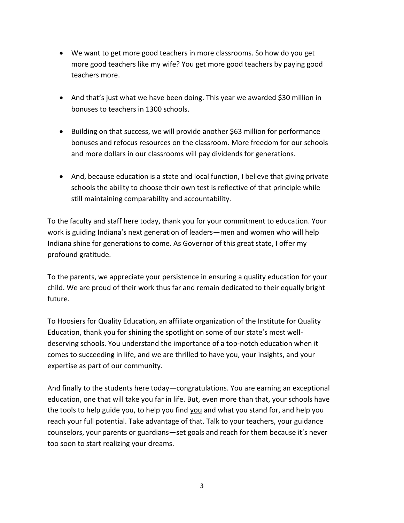- We want to get more good teachers in more classrooms. So how do you get more good teachers like my wife? You get more good teachers by paying good teachers more.
- And that's just what we have been doing. This year we awarded \$30 million in bonuses to teachers in 1300 schools.
- Building on that success, we will provide another \$63 million for performance bonuses and refocus resources on the classroom. More freedom for our schools and more dollars in our classrooms will pay dividends for generations.
- And, because education is a state and local function, I believe that giving private schools the ability to choose their own test is reflective of that principle while still maintaining comparability and accountability.

To the faculty and staff here today, thank you for your commitment to education. Your work is guiding Indiana's next generation of leaders—men and women who will help Indiana shine for generations to come. As Governor of this great state, I offer my profound gratitude.

To the parents, we appreciate your persistence in ensuring a quality education for your child. We are proud of their work thus far and remain dedicated to their equally bright future.

To Hoosiers for Quality Education, an affiliate organization of the Institute for Quality Education, thank you for shining the spotlight on some of our state's most welldeserving schools. You understand the importance of a top-notch education when it comes to succeeding in life, and we are thrilled to have you, your insights, and your expertise as part of our community.

And finally to the students here today—congratulations. You are earning an exceptional education, one that will take you far in life. But, even more than that, your schools have the tools to help guide you, to help you find you and what you stand for, and help you reach your full potential. Take advantage of that. Talk to your teachers, your guidance counselors, your parents or guardians—set goals and reach for them because it's never too soon to start realizing your dreams.